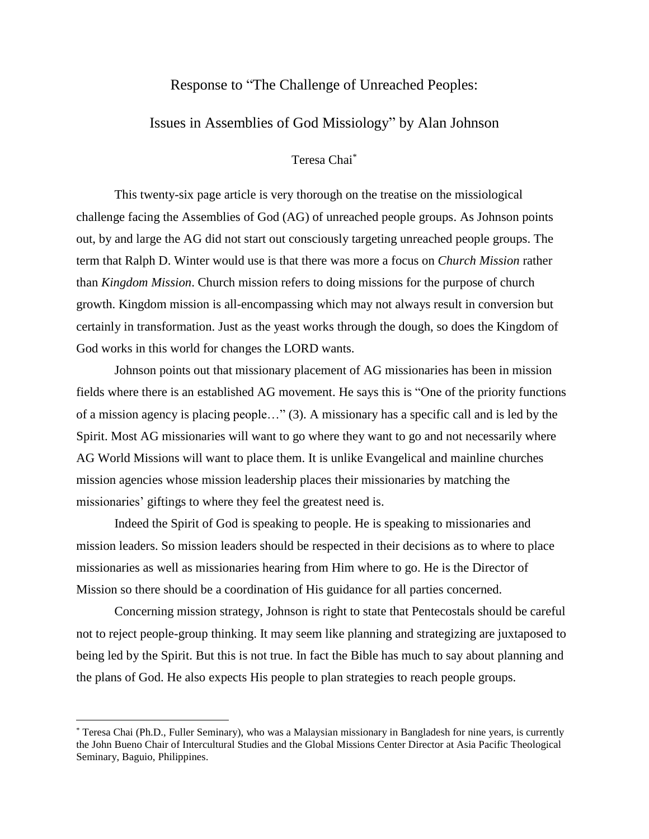## Response to "The Challenge of Unreached Peoples:

## Issues in Assemblies of God Missiology" by Alan Johnson

## Teresa Chai\*

This twenty-six page article is very thorough on the treatise on the missiological challenge facing the Assemblies of God (AG) of unreached people groups. As Johnson points out, by and large the AG did not start out consciously targeting unreached people groups. The term that Ralph D. Winter would use is that there was more a focus on *Church Mission* rather than *Kingdom Mission*. Church mission refers to doing missions for the purpose of church growth. Kingdom mission is all-encompassing which may not always result in conversion but certainly in transformation. Just as the yeast works through the dough, so does the Kingdom of God works in this world for changes the LORD wants.

Johnson points out that missionary placement of AG missionaries has been in mission fields where there is an established AG movement. He says this is "One of the priority functions of a mission agency is placing people…" (3). A missionary has a specific call and is led by the Spirit. Most AG missionaries will want to go where they want to go and not necessarily where AG World Missions will want to place them. It is unlike Evangelical and mainline churches mission agencies whose mission leadership places their missionaries by matching the missionaries' giftings to where they feel the greatest need is.

Indeed the Spirit of God is speaking to people. He is speaking to missionaries and mission leaders. So mission leaders should be respected in their decisions as to where to place missionaries as well as missionaries hearing from Him where to go. He is the Director of Mission so there should be a coordination of His guidance for all parties concerned.

Concerning mission strategy, Johnson is right to state that Pentecostals should be careful not to reject people-group thinking. It may seem like planning and strategizing are juxtaposed to being led by the Spirit. But this is not true. In fact the Bible has much to say about planning and the plans of God. He also expects His people to plan strategies to reach people groups.

 $\overline{a}$ 

<sup>\*</sup> Teresa Chai (Ph.D., Fuller Seminary), who was a Malaysian missionary in Bangladesh for nine years, is currently the John Bueno Chair of Intercultural Studies and the Global Missions Center Director at Asia Pacific Theological Seminary, Baguio, Philippines.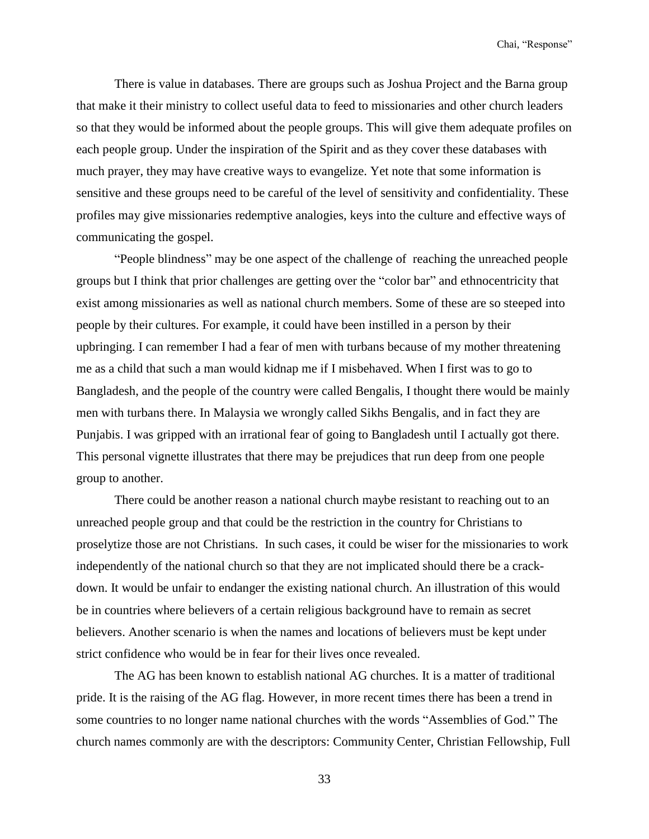There is value in databases. There are groups such as Joshua Project and the Barna group that make it their ministry to collect useful data to feed to missionaries and other church leaders so that they would be informed about the people groups. This will give them adequate profiles on each people group. Under the inspiration of the Spirit and as they cover these databases with much prayer, they may have creative ways to evangelize. Yet note that some information is sensitive and these groups need to be careful of the level of sensitivity and confidentiality. These profiles may give missionaries redemptive analogies, keys into the culture and effective ways of communicating the gospel.

"People blindness" may be one aspect of the challenge of reaching the unreached people groups but I think that prior challenges are getting over the "color bar" and ethnocentricity that exist among missionaries as well as national church members. Some of these are so steeped into people by their cultures. For example, it could have been instilled in a person by their upbringing. I can remember I had a fear of men with turbans because of my mother threatening me as a child that such a man would kidnap me if I misbehaved. When I first was to go to Bangladesh, and the people of the country were called Bengalis, I thought there would be mainly men with turbans there. In Malaysia we wrongly called Sikhs Bengalis, and in fact they are Punjabis. I was gripped with an irrational fear of going to Bangladesh until I actually got there. This personal vignette illustrates that there may be prejudices that run deep from one people group to another.

There could be another reason a national church maybe resistant to reaching out to an unreached people group and that could be the restriction in the country for Christians to proselytize those are not Christians. In such cases, it could be wiser for the missionaries to work independently of the national church so that they are not implicated should there be a crackdown. It would be unfair to endanger the existing national church. An illustration of this would be in countries where believers of a certain religious background have to remain as secret believers. Another scenario is when the names and locations of believers must be kept under strict confidence who would be in fear for their lives once revealed.

The AG has been known to establish national AG churches. It is a matter of traditional pride. It is the raising of the AG flag. However, in more recent times there has been a trend in some countries to no longer name national churches with the words "Assemblies of God." The church names commonly are with the descriptors: Community Center, Christian Fellowship, Full

33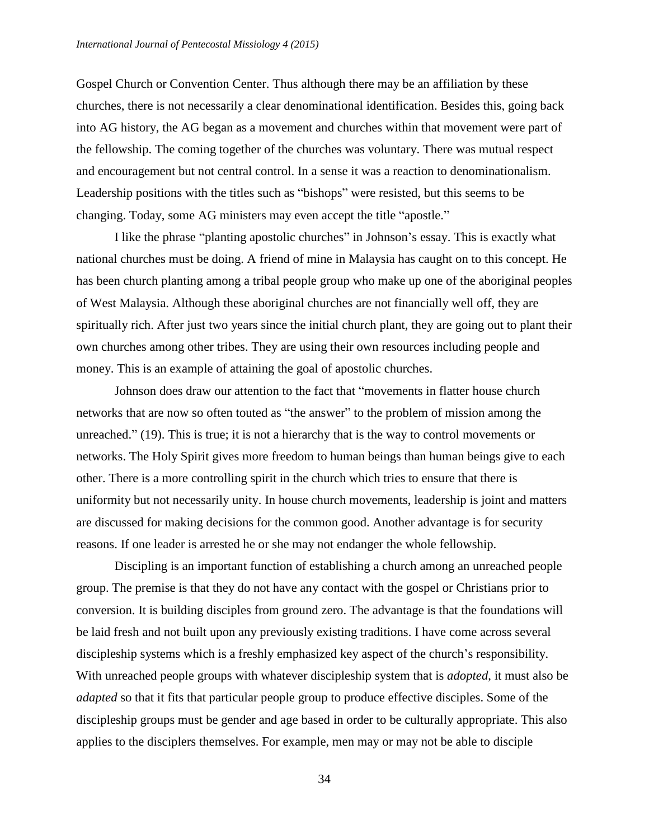Gospel Church or Convention Center. Thus although there may be an affiliation by these churches, there is not necessarily a clear denominational identification. Besides this, going back into AG history, the AG began as a movement and churches within that movement were part of the fellowship. The coming together of the churches was voluntary. There was mutual respect and encouragement but not central control. In a sense it was a reaction to denominationalism. Leadership positions with the titles such as "bishops" were resisted, but this seems to be changing. Today, some AG ministers may even accept the title "apostle."

I like the phrase "planting apostolic churches" in Johnson's essay. This is exactly what national churches must be doing. A friend of mine in Malaysia has caught on to this concept. He has been church planting among a tribal people group who make up one of the aboriginal peoples of West Malaysia. Although these aboriginal churches are not financially well off, they are spiritually rich. After just two years since the initial church plant, they are going out to plant their own churches among other tribes. They are using their own resources including people and money. This is an example of attaining the goal of apostolic churches.

Johnson does draw our attention to the fact that "movements in flatter house church networks that are now so often touted as "the answer" to the problem of mission among the unreached." (19). This is true; it is not a hierarchy that is the way to control movements or networks. The Holy Spirit gives more freedom to human beings than human beings give to each other. There is a more controlling spirit in the church which tries to ensure that there is uniformity but not necessarily unity. In house church movements, leadership is joint and matters are discussed for making decisions for the common good. Another advantage is for security reasons. If one leader is arrested he or she may not endanger the whole fellowship.

Discipling is an important function of establishing a church among an unreached people group. The premise is that they do not have any contact with the gospel or Christians prior to conversion. It is building disciples from ground zero. The advantage is that the foundations will be laid fresh and not built upon any previously existing traditions. I have come across several discipleship systems which is a freshly emphasized key aspect of the church's responsibility. With unreached people groups with whatever discipleship system that is *adopted*, it must also be *adapted* so that it fits that particular people group to produce effective disciples. Some of the discipleship groups must be gender and age based in order to be culturally appropriate. This also applies to the disciplers themselves. For example, men may or may not be able to disciple

34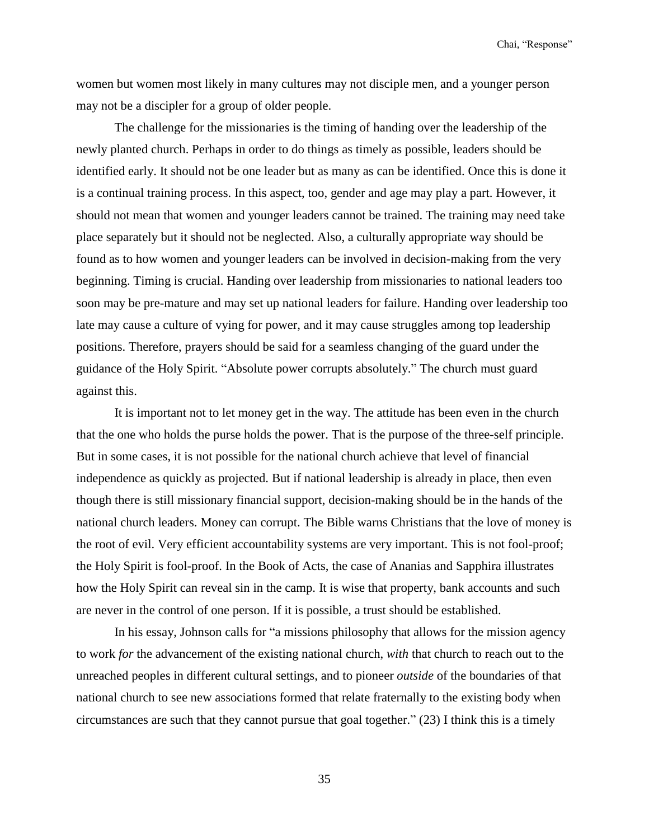Chai, "Response"

women but women most likely in many cultures may not disciple men, and a younger person may not be a discipler for a group of older people.

The challenge for the missionaries is the timing of handing over the leadership of the newly planted church. Perhaps in order to do things as timely as possible, leaders should be identified early. It should not be one leader but as many as can be identified. Once this is done it is a continual training process. In this aspect, too, gender and age may play a part. However, it should not mean that women and younger leaders cannot be trained. The training may need take place separately but it should not be neglected. Also, a culturally appropriate way should be found as to how women and younger leaders can be involved in decision-making from the very beginning. Timing is crucial. Handing over leadership from missionaries to national leaders too soon may be pre-mature and may set up national leaders for failure. Handing over leadership too late may cause a culture of vying for power, and it may cause struggles among top leadership positions. Therefore, prayers should be said for a seamless changing of the guard under the guidance of the Holy Spirit. "Absolute power corrupts absolutely." The church must guard against this.

It is important not to let money get in the way. The attitude has been even in the church that the one who holds the purse holds the power. That is the purpose of the three-self principle. But in some cases, it is not possible for the national church achieve that level of financial independence as quickly as projected. But if national leadership is already in place, then even though there is still missionary financial support, decision-making should be in the hands of the national church leaders. Money can corrupt. The Bible warns Christians that the love of money is the root of evil. Very efficient accountability systems are very important. This is not fool-proof; the Holy Spirit is fool-proof. In the Book of Acts, the case of Ananias and Sapphira illustrates how the Holy Spirit can reveal sin in the camp. It is wise that property, bank accounts and such are never in the control of one person. If it is possible, a trust should be established.

In his essay, Johnson calls for "a missions philosophy that allows for the mission agency to work *for* the advancement of the existing national church, *with* that church to reach out to the unreached peoples in different cultural settings, and to pioneer *outside* of the boundaries of that national church to see new associations formed that relate fraternally to the existing body when circumstances are such that they cannot pursue that goal together." (23) I think this is a timely

35